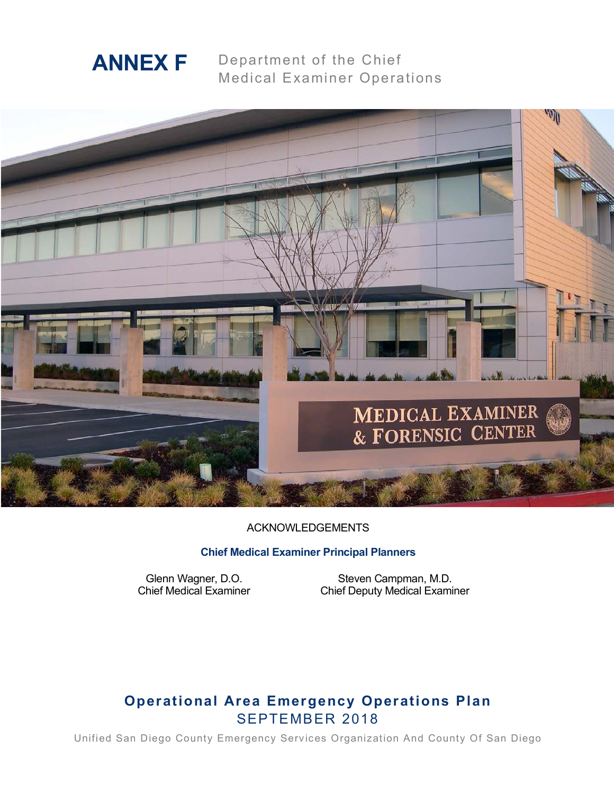

Department of the Chief Medical Examiner Operations



## ACKNOWLEDGEMENTS

## **Chief Medical Examiner Principal Planners**

Glenn Wagner, D.O. Chief Medical Examiner

Steven Campman, M.D. Chief Deputy Medical Examiner

# **Operational Area Emergency Operations Plan** SEPTEMBER 2018

Unified San Diego County Emergency Services Organization And County Of San Diego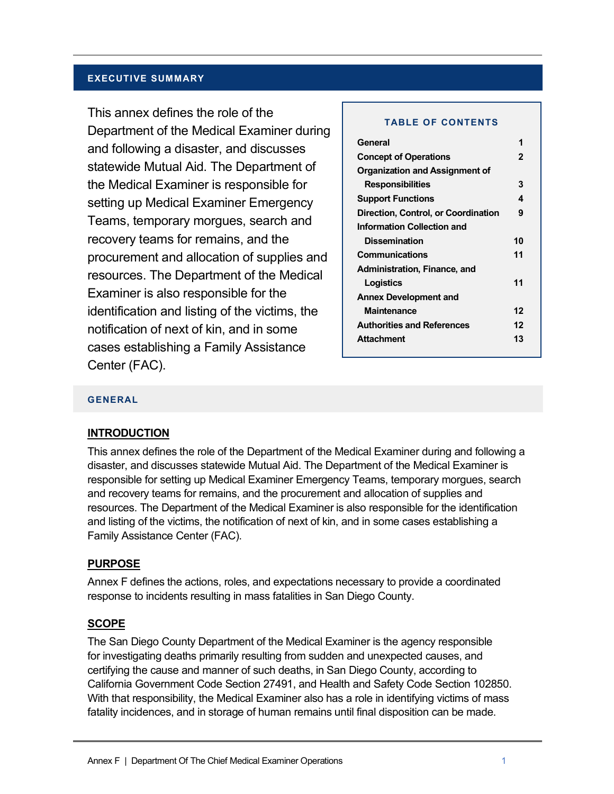#### **EXECUTIVE SUMMARY**

This annex defines the role of the Department of the Medical Examiner during and following a disaster, and discusses statewide Mutual Aid. The Department of the Medical Examiner is responsible for setting up Medical Examiner Emergency Teams, temporary morgues, search and recovery teams for remains, and the procurement and allocation of supplies and resources. The Department of the Medical Examiner is also responsible for the identification and listing of the victims, the notification of next of kin, and in some cases establishing a Family Assistance Center (FAC).

#### **TABLE OF CONTENTS**

| General                               |    |
|---------------------------------------|----|
| <b>Concept of Operations</b>          | 2  |
| <b>Organization and Assignment of</b> |    |
| Responsibilities                      | 3  |
| <b>Support Functions</b>              | 4  |
| Direction, Control, or Coordination   | 9  |
| <b>Information Collection and</b>     |    |
| Dissemination                         | 10 |
| <b>Communications</b>                 | 11 |
| Administration, Finance, and          |    |
| Logistics                             | 11 |
| <b>Annex Development and</b>          |    |
| Maintenance                           | 12 |
| <b>Authorities and References</b>     | 12 |
| <b>Attachment</b>                     | 13 |

#### **GENERAL**

#### **INTRODUCTION**

This annex defines the role of the Department of the Medical Examiner during and following a disaster, and discusses statewide Mutual Aid. The Department of the Medical Examiner is responsible for setting up Medical Examiner Emergency Teams, temporary morgues, search and recovery teams for remains, and the procurement and allocation of supplies and resources. The Department of the Medical Examiner is also responsible for the identification and listing of the victims, the notification of next of kin, and in some cases establishing a Family Assistance Center (FAC).

#### **PURPOSE**

Annex F defines the actions, roles, and expectations necessary to provide a coordinated response to incidents resulting in mass fatalities in San Diego County.

#### **SCOPE**

The San Diego County Department of the Medical Examiner is the agency responsible for investigating deaths primarily resulting from sudden and unexpected causes, and certifying the cause and manner of such deaths, in San Diego County, according to California Government Code Section 27491, and Health and Safety Code Section 102850. With that responsibility, the Medical Examiner also has a role in identifying victims of mass fatality incidences, and in storage of human remains until final disposition can be made.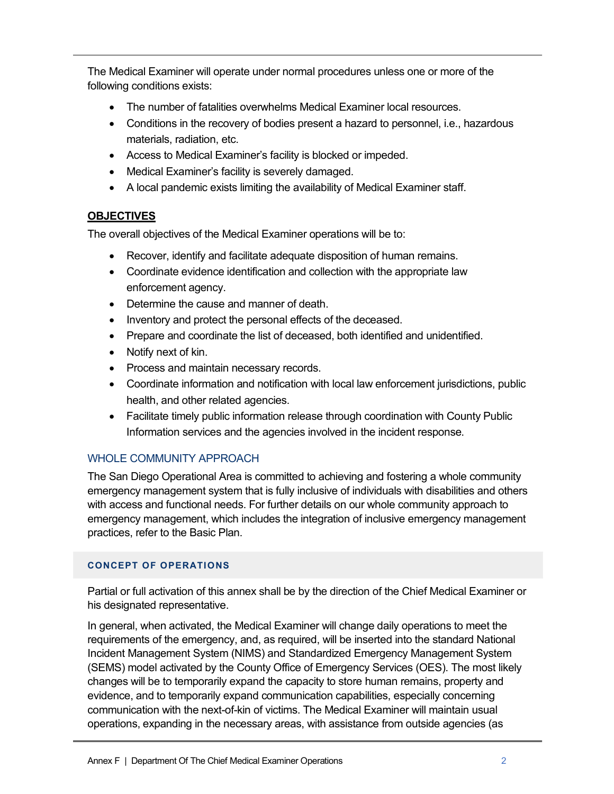The Medical Examiner will operate under normal procedures unless one or more of the following conditions exists:

- The number of fatalities overwhelms Medical Examiner local resources.
- Conditions in the recovery of bodies present a hazard to personnel, i.e., hazardous materials, radiation, etc.
- Access to Medical Examiner's facility is blocked or impeded.
- Medical Examiner's facility is severely damaged.
- A local pandemic exists limiting the availability of Medical Examiner staff.

# **OBJECTIVES**

The overall objectives of the Medical Examiner operations will be to:

- Recover, identify and facilitate adequate disposition of human remains.
- Coordinate evidence identification and collection with the appropriate law enforcement agency.
- Determine the cause and manner of death.
- Inventory and protect the personal effects of the deceased.
- Prepare and coordinate the list of deceased, both identified and unidentified.
- Notify next of kin.
- Process and maintain necessary records.
- Coordinate information and notification with local law enforcement jurisdictions, public health, and other related agencies.
- Facilitate timely public information release through coordination with County Public Information services and the agencies involved in the incident response.

# WHOLE COMMUNITY APPROACH

The San Diego Operational Area is committed to achieving and fostering a whole community emergency management system that is fully inclusive of individuals with disabilities and others with access and functional needs. For further details on our whole community approach to emergency management, which includes the integration of inclusive emergency management practices, refer to the Basic Plan.

## **CONCEPT OF OPERATIONS**

Partial or full activation of this annex shall be by the direction of the Chief Medical Examiner or his designated representative.

In general, when activated, the Medical Examiner will change daily operations to meet the requirements of the emergency, and, as required, will be inserted into the standard National Incident Management System (NIMS) and Standardized Emergency Management System (SEMS) model activated by the County Office of Emergency Services (OES). The most likely changes will be to temporarily expand the capacity to store human remains, property and evidence, and to temporarily expand communication capabilities, especially concerning communication with the next-of-kin of victims. The Medical Examiner will maintain usual operations, expanding in the necessary areas, with assistance from outside agencies (as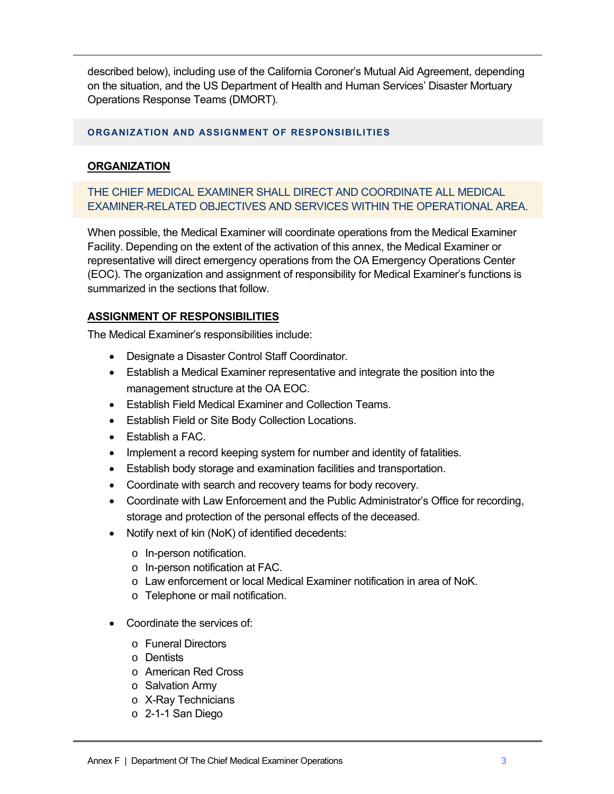described below), including use of the California Coroner's Mutual Aid Agreement, depending on the situation, and the US Department of Health and Human Services' Disaster Mortuary Operations Response Teams (DMORT).

## **ORGANIZATION AND ASSIGNMENT OF RESPONSIBILITIES**

## **ORGANIZATION**

# THE CHIEF MEDICAL EXAMINER SHALL DIRECT AND COORDINATE ALL MEDICAL EXAMINER-RELATED OBJECTIVES AND SERVICES WITHIN THE OPERATIONAL AREA.

When possible, the Medical Examiner will coordinate operations from the Medical Examiner Facility. Depending on the extent of the activation of this annex, the Medical Examiner or representative will direct emergency operations from the OA Emergency Operations Center (EOC). The organization and assignment of responsibility for Medical Examiner's functions is summarized in the sections that follow.

## **ASSIGNMENT OF RESPONSIBILITIES**

The Medical Examiner's responsibilities include:

- Designate a Disaster Control Staff Coordinator.
- Establish a Medical Examiner representative and integrate the position into the management structure at the OA EOC.
- Establish Field Medical Examiner and Collection Teams.
- Establish Field or Site Body Collection Locations.
- Establish a FAC.
- Implement a record keeping system for number and identity of fatalities.
- Establish body storage and examination facilities and transportation.
- Coordinate with search and recovery teams for body recovery.
- Coordinate with Law Enforcement and the Public Administrator's Office for recording, storage and protection of the personal effects of the deceased.
- Notify next of kin (NoK) of identified decedents:
	- o In-person notification.
	- o In-person notification at FAC.
	- o Law enforcement or local Medical Examiner notification in area of NoK.
	- o Telephone or mail notification.
- Coordinate the services of:
	- o Funeral Directors
	- o Dentists
	- o American Red Cross
	- o Salvation Army
	- o X-Ray Technicians
	- o 2-1-1 San Diego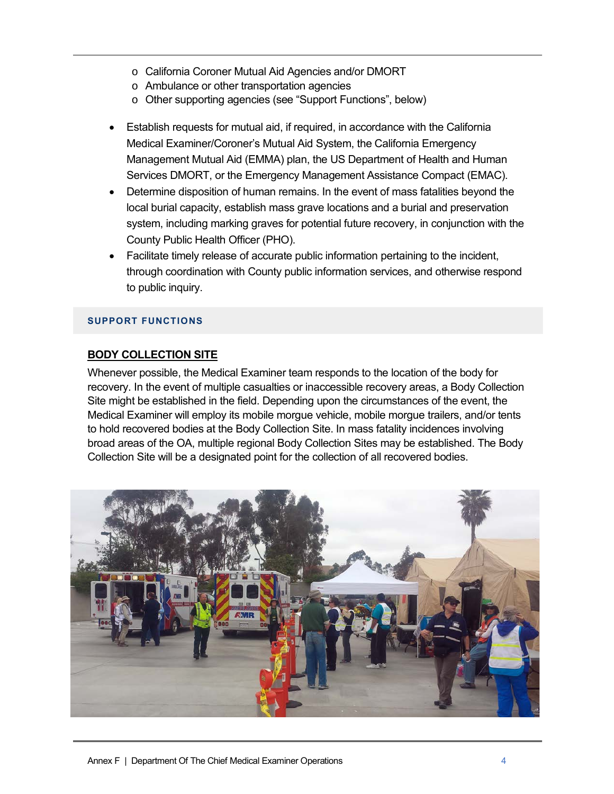- o California Coroner Mutual Aid Agencies and/or DMORT
- o Ambulance or other transportation agencies
- o Other supporting agencies (see "Support Functions", below)
- Establish requests for mutual aid, if required, in accordance with the California Medical Examiner/Coroner's Mutual Aid System, the California Emergency Management Mutual Aid (EMMA) plan, the US Department of Health and Human Services DMORT, or the Emergency Management Assistance Compact (EMAC).
- Determine disposition of human remains. In the event of mass fatalities beyond the local burial capacity, establish mass grave locations and a burial and preservation system, including marking graves for potential future recovery, in conjunction with the County Public Health Officer (PHO).
- Facilitate timely release of accurate public information pertaining to the incident, through coordination with County public information services, and otherwise respond to public inquiry.

#### **SUPPORT FUNCTIONS**

## **BODY COLLECTION SITE**

Whenever possible, the Medical Examiner team responds to the location of the body for recovery. In the event of multiple casualties or inaccessible recovery areas, a Body Collection Site might be established in the field. Depending upon the circumstances of the event, the Medical Examiner will employ its mobile morgue vehicle, mobile morgue trailers, and/or tents to hold recovered bodies at the Body Collection Site. In mass fatality incidences involving broad areas of the OA, multiple regional Body Collection Sites may be established. The Body Collection Site will be a designated point for the collection of all recovered bodies.

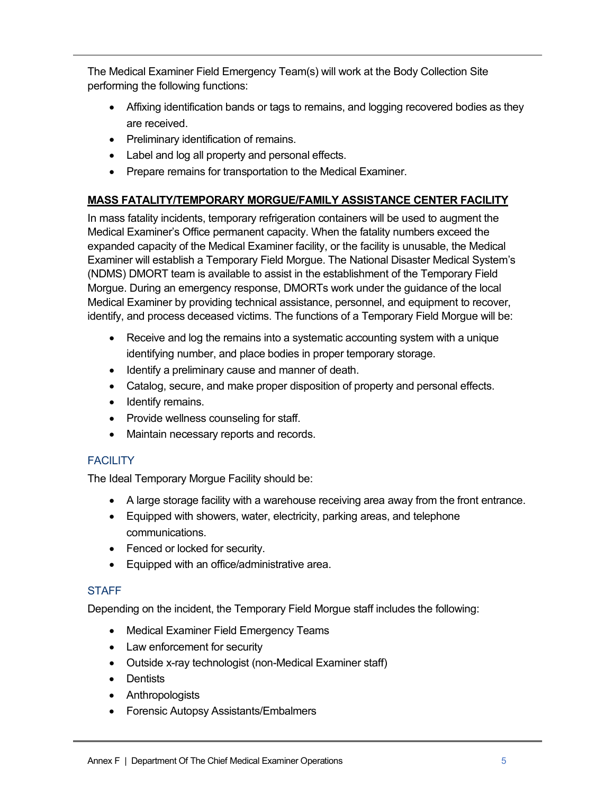The Medical Examiner Field Emergency Team(s) will work at the Body Collection Site performing the following functions:

- Affixing identification bands or tags to remains, and logging recovered bodies as they are received.
- Preliminary identification of remains.
- Label and log all property and personal effects.
- Prepare remains for transportation to the Medical Examiner.

# **MASS FATALITY/TEMPORARY MORGUE/FAMILY ASSISTANCE CENTER FACILITY**

In mass fatality incidents, temporary refrigeration containers will be used to augment the Medical Examiner's Office permanent capacity. When the fatality numbers exceed the expanded capacity of the Medical Examiner facility, or the facility is unusable, the Medical Examiner will establish a Temporary Field Morgue. The National Disaster Medical System's (NDMS) DMORT team is available to assist in the establishment of the Temporary Field Morgue. During an emergency response, DMORTs work under the guidance of the local Medical Examiner by providing technical assistance, personnel, and equipment to recover, identify, and process deceased victims. The functions of a Temporary Field Morgue will be:

- Receive and log the remains into a systematic accounting system with a unique identifying number, and place bodies in proper temporary storage.
- Identify a preliminary cause and manner of death.
- Catalog, secure, and make proper disposition of property and personal effects.
- Identify remains.
- Provide wellness counseling for staff.
- Maintain necessary reports and records.

# **FACILITY**

The Ideal Temporary Morgue Facility should be:

- A large storage facility with a warehouse receiving area away from the front entrance.
- Equipped with showers, water, electricity, parking areas, and telephone communications.
- Fenced or locked for security.
- Equipped with an office/administrative area.

# **STAFF**

Depending on the incident, the Temporary Field Morgue staff includes the following:

- Medical Examiner Field Emergency Teams
- Law enforcement for security
- Outside x-ray technologist (non-Medical Examiner staff)
- Dentists
- Anthropologists
- Forensic Autopsy Assistants/Embalmers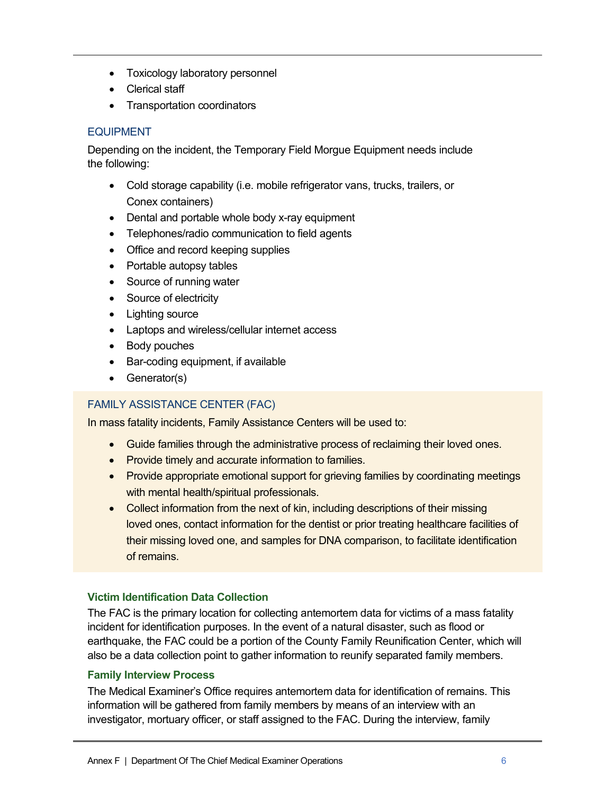- Toxicology laboratory personnel
- Clerical staff
- Transportation coordinators

# EQUIPMENT

Depending on the incident, the Temporary Field Morgue Equipment needs include the following:

- Cold storage capability (i.e. mobile refrigerator vans, trucks, trailers, or Conex containers)
- Dental and portable whole body x-ray equipment
- Telephones/radio communication to field agents
- Office and record keeping supplies
- Portable autopsy tables
- Source of running water
- Source of electricity
- Lighting source
- Laptops and wireless/cellular internet access
- Body pouches
- Bar-coding equipment, if available
- Generator(s)

# FAMILY ASSISTANCE CENTER (FAC)

In mass fatality incidents, Family Assistance Centers will be used to:

- Guide families through the administrative process of reclaiming their loved ones.
- Provide timely and accurate information to families.
- Provide appropriate emotional support for grieving families by coordinating meetings with mental health/spiritual professionals.
- Collect information from the next of kin, including descriptions of their missing loved ones, contact information for the dentist or prior treating healthcare facilities of their missing loved one, and samples for DNA comparison, to facilitate identification of remains.

## **Victim Identification Data Collection**

The FAC is the primary location for collecting antemortem data for victims of a mass fatality incident for identification purposes. In the event of a natural disaster, such as flood or earthquake, the FAC could be a portion of the County Family Reunification Center, which will also be a data collection point to gather information to reunify separated family members.

## **Family Interview Process**

The Medical Examiner's Office requires antemortem data for identification of remains. This information will be gathered from family members by means of an interview with an investigator, mortuary officer, or staff assigned to the FAC. During the interview, family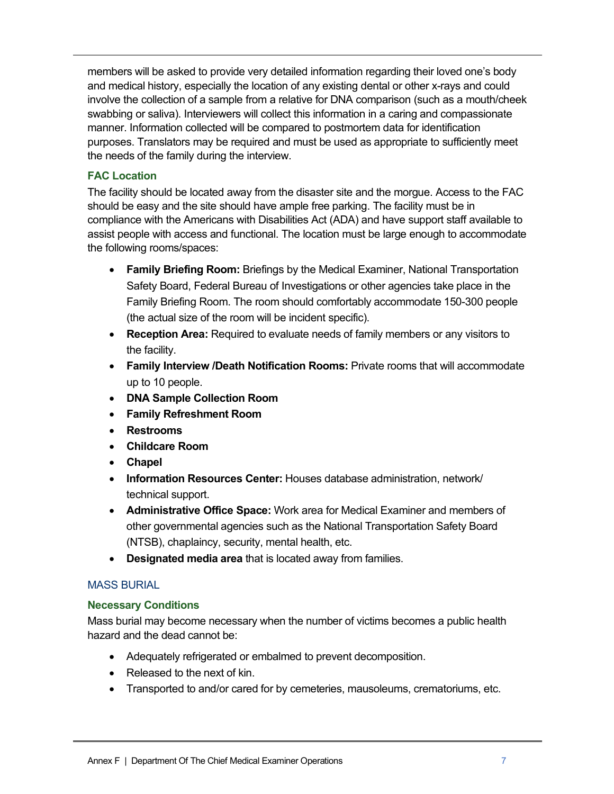members will be asked to provide very detailed information regarding their loved one's body and medical history, especially the location of any existing dental or other x-rays and could involve the collection of a sample from a relative for DNA comparison (such as a mouth/cheek swabbing or saliva). Interviewers will collect this information in a caring and compassionate manner. Information collected will be compared to postmortem data for identification purposes. Translators may be required and must be used as appropriate to sufficiently meet the needs of the family during the interview.

# **FAC Location**

The facility should be located away from the disaster site and the morgue. Access to the FAC should be easy and the site should have ample free parking. The facility must be in compliance with the Americans with Disabilities Act (ADA) and have support staff available to assist people with access and functional. The location must be large enough to accommodate the following rooms/spaces:

- **Family Briefing Room:** Briefings by the Medical Examiner, National Transportation Safety Board, Federal Bureau of Investigations or other agencies take place in the Family Briefing Room. The room should comfortably accommodate 150-300 people (the actual size of the room will be incident specific).
- **Reception Area:** Required to evaluate needs of family members or any visitors to the facility.
- **Family Interview /Death Notification Rooms:** Private rooms that will accommodate up to 10 people.
- **DNA Sample Collection Room**
- **Family Refreshment Room**
- **Restrooms**
- **Childcare Room**
- **Chapel**
- **Information Resources Center:** Houses database administration, network/ technical support.
- **Administrative Office Space:** Work area for Medical Examiner and members of other governmental agencies such as the National Transportation Safety Board (NTSB), chaplaincy, security, mental health, etc.
- **Designated media area** that is located away from families.

## MASS BURIAL

## **Necessary Conditions**

Mass burial may become necessary when the number of victims becomes a public health hazard and the dead cannot be:

- Adequately refrigerated or embalmed to prevent decomposition.
- Released to the next of kin.
- Transported to and/or cared for by cemeteries, mausoleums, crematoriums, etc.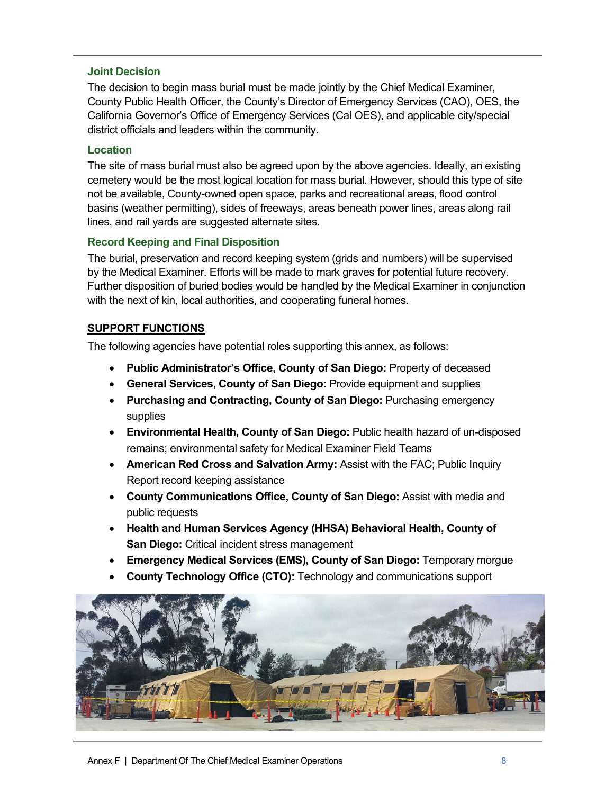## **Joint Decision**

The decision to begin mass burial must be made jointly by the Chief Medical Examiner, County Public Health Officer, the County's Director of Emergency Services (CAO), OES, the California Governor's Office of Emergency Services (Cal OES), and applicable city/special district officials and leaders within the community.

# **Location**

The site of mass burial must also be agreed upon by the above agencies. Ideally, an existing cemetery would be the most logical location for mass burial. However, should this type of site not be available, County-owned open space, parks and recreational areas, flood control basins (weather permitting), sides of freeways, areas beneath power lines, areas along rail lines, and rail yards are suggested alternate sites.

# **Record Keeping and Final Disposition**

The burial, preservation and record keeping system (grids and numbers) will be supervised by the Medical Examiner. Efforts will be made to mark graves for potential future recovery. Further disposition of buried bodies would be handled by the Medical Examiner in conjunction with the next of kin, local authorities, and cooperating funeral homes.

# **SUPPORT FUNCTIONS**

The following agencies have potential roles supporting this annex, as follows:

- **Public Administrator's Office, County of San Diego:** Property of deceased
- **General Services, County of San Diego:** Provide equipment and supplies
- **Purchasing and Contracting, County of San Diego:** Purchasing emergency supplies
- **Environmental Health, County of San Diego:** Public health hazard of un-disposed remains; environmental safety for Medical Examiner Field Teams
- **American Red Cross and Salvation Army:** Assist with the FAC; Public Inquiry Report record keeping assistance
- **County Communications Office, County of San Diego:** Assist with media and public requests
- **Health and Human Services Agency (HHSA) Behavioral Health, County of San Diego:** Critical incident stress management
- **Emergency Medical Services (EMS), County of San Diego:** Temporary morgue
- **County Technology Office (CTO):** Technology and communications support

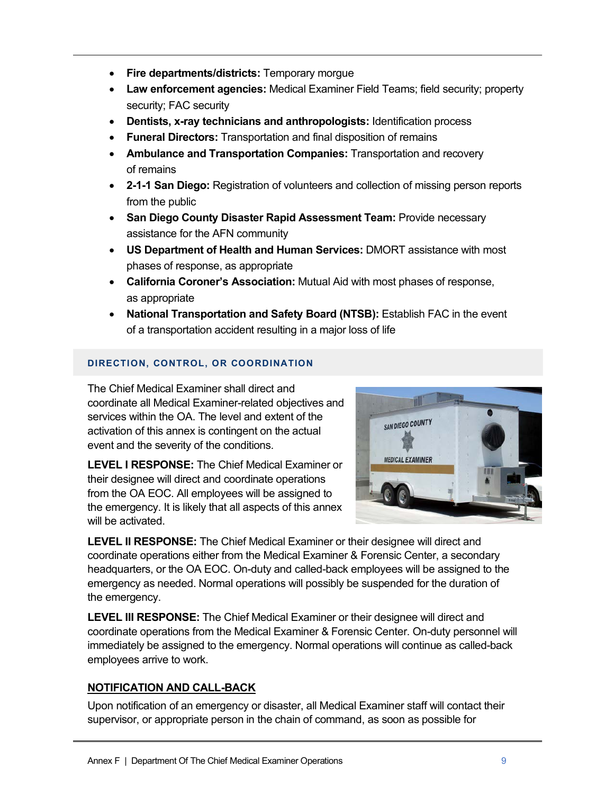- **Fire departments/districts:** Temporary morgue
- **Law enforcement agencies:** Medical Examiner Field Teams; field security; property security; FAC security
- **Dentists, x-ray technicians and anthropologists:** Identification process
- **Funeral Directors:** Transportation and final disposition of remains
- **Ambulance and Transportation Companies:** Transportation and recovery of remains
- **2-1-1 San Diego:** Registration of volunteers and collection of missing person reports from the public
- **San Diego County Disaster Rapid Assessment Team:** Provide necessary assistance for the AFN community
- **US Department of Health and Human Services:** DMORT assistance with most phases of response, as appropriate
- **California Coroner's Association:** Mutual Aid with most phases of response, as appropriate
- **National Transportation and Safety Board (NTSB):** Establish FAC in the event of a transportation accident resulting in a major loss of life

# **DIRECTION, CONTROL, OR COORDINATION**

The Chief Medical Examiner shall direct and coordinate all Medical Examiner-related objectives and services within the OA. The level and extent of the activation of this annex is contingent on the actual event and the severity of the conditions.

**LEVEL I RESPONSE:** The Chief Medical Examiner or their designee will direct and coordinate operations from the OA EOC. All employees will be assigned to the emergency. It is likely that all aspects of this annex will be activated.



**LEVEL II RESPONSE:** The Chief Medical Examiner or their designee will direct and coordinate operations either from the Medical Examiner & Forensic Center, a secondary headquarters, or the OA EOC. On-duty and called-back employees will be assigned to the emergency as needed. Normal operations will possibly be suspended for the duration of the emergency.

**LEVEL III RESPONSE:** The Chief Medical Examiner or their designee will direct and coordinate operations from the Medical Examiner & Forensic Center. On-duty personnel will immediately be assigned to the emergency. Normal operations will continue as called-back employees arrive to work.

# **NOTIFICATION AND CALL-BACK**

Upon notification of an emergency or disaster, all Medical Examiner staff will contact their supervisor, or appropriate person in the chain of command, as soon as possible for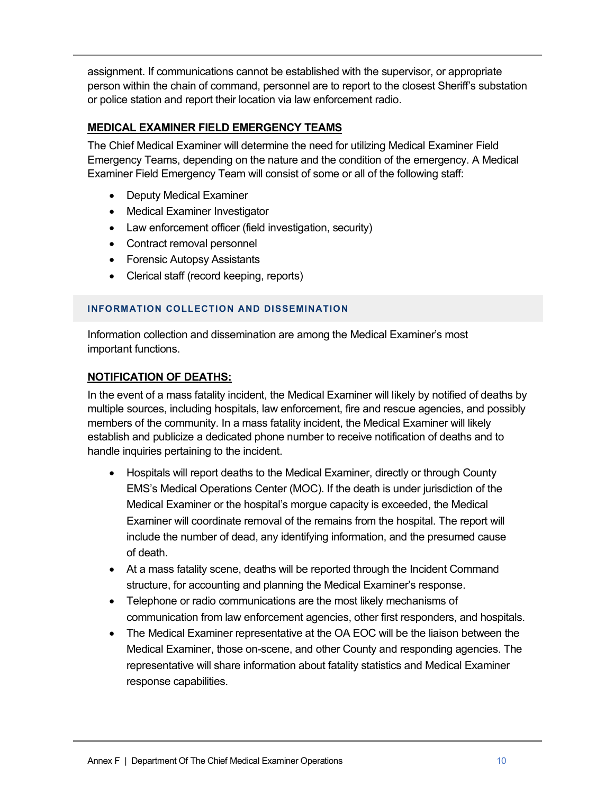assignment. If communications cannot be established with the supervisor, or appropriate person within the chain of command, personnel are to report to the closest Sheriff's substation or police station and report their location via law enforcement radio.

# **MEDICAL EXAMINER FIELD EMERGENCY TEAMS**

The Chief Medical Examiner will determine the need for utilizing Medical Examiner Field Emergency Teams, depending on the nature and the condition of the emergency. A Medical Examiner Field Emergency Team will consist of some or all of the following staff:

- Deputy Medical Examiner
- Medical Examiner Investigator
- Law enforcement officer (field investigation, security)
- Contract removal personnel
- Forensic Autopsy Assistants
- Clerical staff (record keeping, reports)

# **INFORMATION COLLECTION AND DISSEMINATION**

Information collection and dissemination are among the Medical Examiner's most important functions.

# **NOTIFICATION OF DEATHS:**

In the event of a mass fatality incident, the Medical Examiner will likely by notified of deaths by multiple sources, including hospitals, law enforcement, fire and rescue agencies, and possibly members of the community. In a mass fatality incident, the Medical Examiner will likely establish and publicize a dedicated phone number to receive notification of deaths and to handle inquiries pertaining to the incident.

- Hospitals will report deaths to the Medical Examiner, directly or through County EMS's Medical Operations Center (MOC). If the death is under jurisdiction of the Medical Examiner or the hospital's morgue capacity is exceeded, the Medical Examiner will coordinate removal of the remains from the hospital. The report will include the number of dead, any identifying information, and the presumed cause of death.
- At a mass fatality scene, deaths will be reported through the Incident Command structure, for accounting and planning the Medical Examiner's response.
- Telephone or radio communications are the most likely mechanisms of communication from law enforcement agencies, other first responders, and hospitals.
- The Medical Examiner representative at the OA EOC will be the liaison between the Medical Examiner, those on-scene, and other County and responding agencies. The representative will share information about fatality statistics and Medical Examiner response capabilities.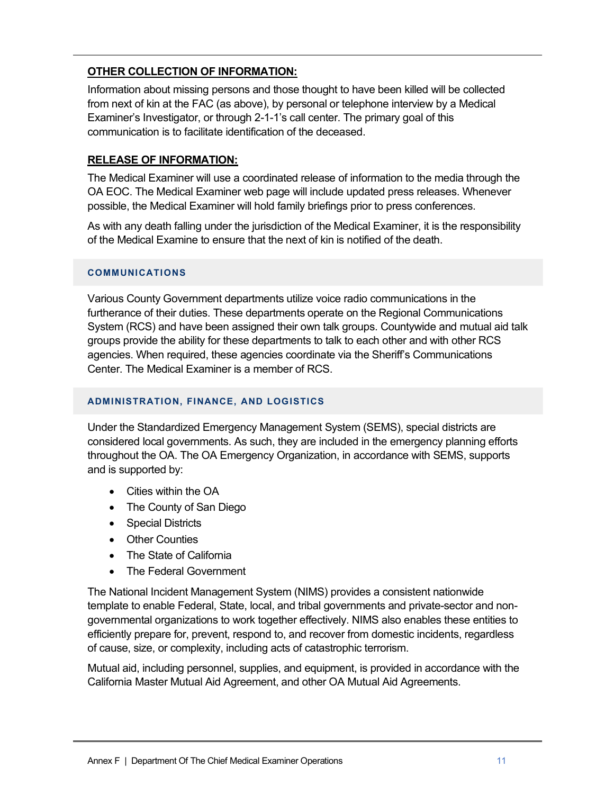# **OTHER COLLECTION OF INFORMATION:**

Information about missing persons and those thought to have been killed will be collected from next of kin at the FAC (as above), by personal or telephone interview by a Medical Examiner's Investigator, or through 2-1-1's call center. The primary goal of this communication is to facilitate identification of the deceased.

# **RELEASE OF INFORMATION:**

The Medical Examiner will use a coordinated release of information to the media through the OA EOC. The Medical Examiner web page will include updated press releases. Whenever possible, the Medical Examiner will hold family briefings prior to press conferences.

As with any death falling under the jurisdiction of the Medical Examiner, it is the responsibility of the Medical Examine to ensure that the next of kin is notified of the death.

#### **COMMUNICATIONS**

Various County Government departments utilize voice radio communications in the furtherance of their duties. These departments operate on the Regional Communications System (RCS) and have been assigned their own talk groups. Countywide and mutual aid talk groups provide the ability for these departments to talk to each other and with other RCS agencies. When required, these agencies coordinate via the Sheriff's Communications Center. The Medical Examiner is a member of RCS.

#### **ADMINISTRATION, FINANCE, AND LOGISTICS**

Under the Standardized Emergency Management System (SEMS), special districts are considered local governments. As such, they are included in the emergency planning efforts throughout the OA. The OA Emergency Organization, in accordance with SEMS, supports and is supported by:

- Cities within the OA
- The County of San Diego
- Special Districts
- Other Counties
- The State of California
- The Federal Government

The National Incident Management System (NIMS) provides a consistent nationwide template to enable Federal, State, local, and tribal governments and private-sector and nongovernmental organizations to work together effectively. NIMS also enables these entities to efficiently prepare for, prevent, respond to, and recover from domestic incidents, regardless of cause, size, or complexity, including acts of catastrophic terrorism.

Mutual aid, including personnel, supplies, and equipment, is provided in accordance with the California Master Mutual Aid Agreement, and other OA Mutual Aid Agreements.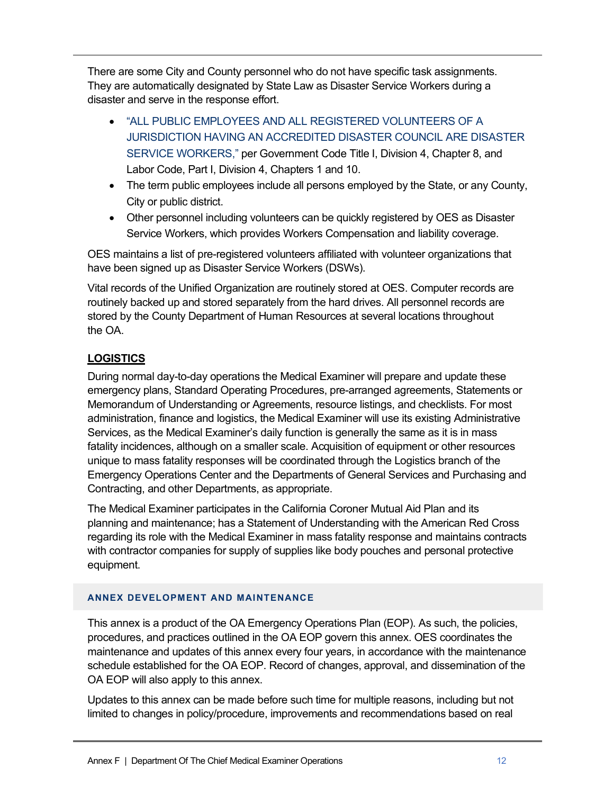There are some City and County personnel who do not have specific task assignments. They are automatically designated by State Law as Disaster Service Workers during a disaster and serve in the response effort.

- "ALL PUBLIC EMPLOYEES AND ALL REGISTERED VOLUNTEERS OF A JURISDICTION HAVING AN ACCREDITED DISASTER COUNCIL ARE DISASTER SERVICE WORKERS," per Government Code Title I, Division 4, Chapter 8, and Labor Code, Part I, Division 4, Chapters 1 and 10.
- The term public employees include all persons employed by the State, or any County, City or public district.
- Other personnel including volunteers can be quickly registered by OES as Disaster Service Workers, which provides Workers Compensation and liability coverage.

OES maintains a list of pre-registered volunteers affiliated with volunteer organizations that have been signed up as Disaster Service Workers (DSWs).

Vital records of the Unified Organization are routinely stored at OES. Computer records are routinely backed up and stored separately from the hard drives. All personnel records are stored by the County Department of Human Resources at several locations throughout the OA.

# **LOGISTICS**

During normal day-to-day operations the Medical Examiner will prepare and update these emergency plans, Standard Operating Procedures, pre-arranged agreements, Statements or Memorandum of Understanding or Agreements, resource listings, and checklists. For most administration, finance and logistics, the Medical Examiner will use its existing Administrative Services, as the Medical Examiner's daily function is generally the same as it is in mass fatality incidences, although on a smaller scale. Acquisition of equipment or other resources unique to mass fatality responses will be coordinated through the Logistics branch of the Emergency Operations Center and the Departments of General Services and Purchasing and Contracting, and other Departments, as appropriate.

The Medical Examiner participates in the California Coroner Mutual Aid Plan and its planning and maintenance; has a Statement of Understanding with the American Red Cross regarding its role with the Medical Examiner in mass fatality response and maintains contracts with contractor companies for supply of supplies like body pouches and personal protective equipment.

## **ANNEX DEVELOPMENT AND MAINTENANCE**

This annex is a product of the OA Emergency Operations Plan (EOP). As such, the policies, procedures, and practices outlined in the OA EOP govern this annex. OES coordinates the maintenance and updates of this annex every four years, in accordance with the maintenance schedule established for the OA EOP. Record of changes, approval, and dissemination of the OA EOP will also apply to this annex.

Updates to this annex can be made before such time for multiple reasons, including but not limited to changes in policy/procedure, improvements and recommendations based on real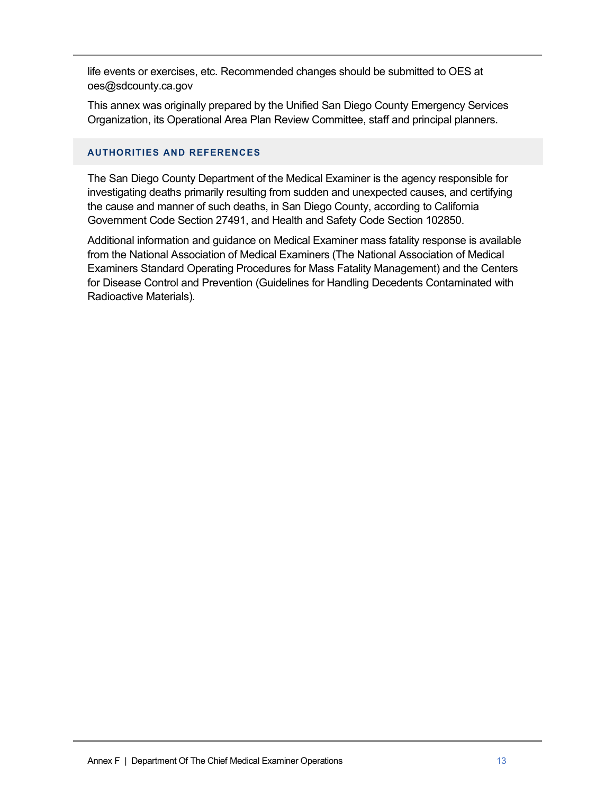life events or exercises, etc. Recommended changes should be submitted to OES at oes@sdcounty.ca.gov

This annex was originally prepared by the Unified San Diego County Emergency Services Organization, its Operational Area Plan Review Committee, staff and principal planners.

#### **AUTHORITIES AND REFERENCES**

The San Diego County Department of the Medical Examiner is the agency responsible for investigating deaths primarily resulting from sudden and unexpected causes, and certifying the cause and manner of such deaths, in San Diego County, according to California Government Code Section 27491, and Health and Safety Code Section 102850.

Additional information and guidance on Medical Examiner mass fatality response is available from the National Association of Medical Examiners (The National Association of Medical Examiners Standard Operating Procedures for Mass Fatality Management) and the Centers for Disease Control and Prevention (Guidelines for Handling Decedents Contaminated with Radioactive Materials).